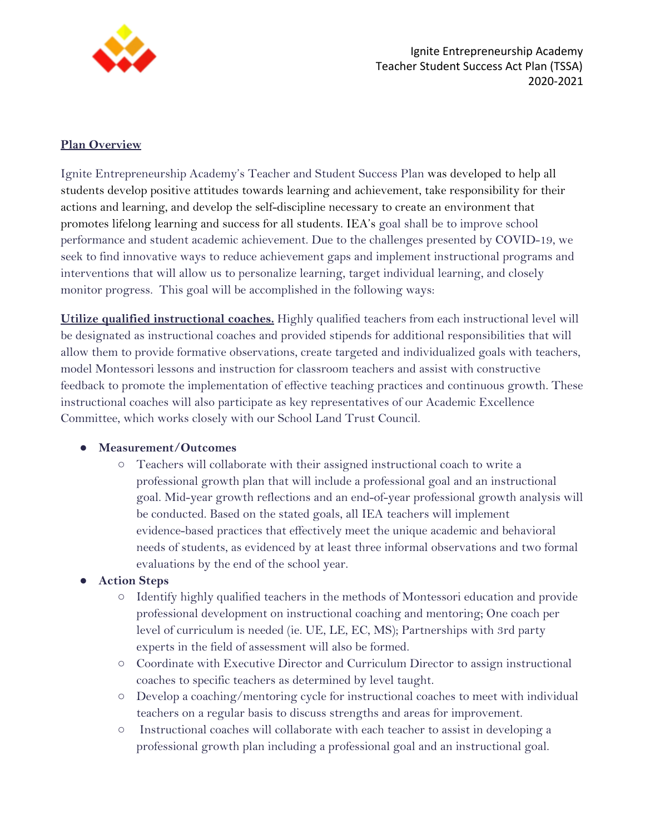

Ignite Entrepreneurship Academy Teacher Student Success Act Plan (TSSA) 2020-2021

## **Plan Overview**

Ignite Entrepreneurship Academy's Teacher and Student Success Plan was developed to help all students develop positive attitudes towards learning and achievement, take responsibility for their actions and learning, and develop the self-discipline necessary to create an environment that promotes lifelong learning and success for all students. IEA's goal shall be to improve school performance and student academic achievement. Due to the challenges presented by COVID-19, we seek to find innovative ways to reduce achievement gaps and implement instructional programs and interventions that will allow us to personalize learning, target individual learning, and closely monitor progress. This goal will be accomplished in the following ways:

**Utilize qualified instructional coaches.** Highly qualified teachers from each instructional level will be designated as instructional coaches and provided stipends for additional responsibilities that will allow them to provide formative observations, create targeted and individualized goals with teachers, model Montessori lessons and instruction for classroom teachers and assist with constructive feedback to promote the implementation of effective teaching practices and continuous growth. These instructional coaches will also participate as key representatives of our Academic Excellence Committee, which works closely with our School Land Trust Council.

### ● **Measurement/Outcomes**

○ Teachers will collaborate with their assigned instructional coach to write a professional growth plan that will include a professional goal and an instructional goal. Mid-year growth reflections and an end-of-year professional growth analysis will be conducted. Based on the stated goals, all IEA teachers will implement evidence-based practices that effectively meet the unique academic and behavioral needs of students, as evidenced by at least three informal observations and two formal evaluations by the end of the school year.

### **● Action Steps**

- **○** Identify highly qualified teachers in the methods of Montessori education and provide professional development on instructional coaching and mentoring; One coach per level of curriculum is needed (ie. UE, LE, EC, MS); Partnerships with 3rd party experts in the field of assessment will also be formed.
- **○** Coordinate with Executive Director and Curriculum Director to assign instructional coaches to specific teachers as determined by level taught.
- **○** Develop a coaching/mentoring cycle for instructional coaches to meet with individual teachers on a regular basis to discuss strengths and areas for improvement.
- **○** Instructional coaches will collaborate with each teacher to assist in developing a professional growth plan including a professional goal and an instructional goal.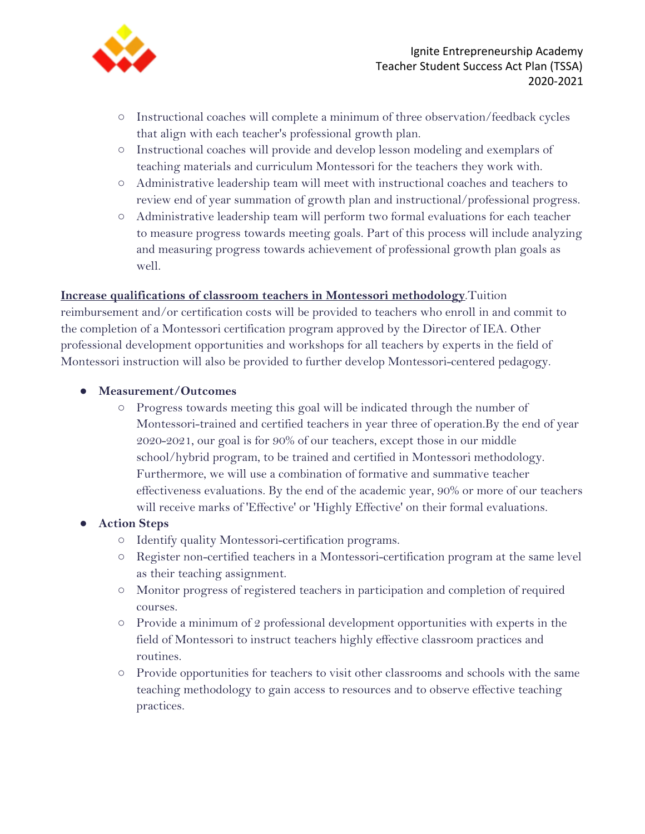

- **○** Instructional coaches will complete a minimum of three observation/feedback cycles that align with each teacher's professional growth plan.
- **○** Instructional coaches will provide and develop lesson modeling and exemplars of teaching materials and curriculum Montessori for the teachers they work with.
- **○** Administrative leadership team will meet with instructional coaches and teachers to review end of year summation of growth plan and instructional/professional progress.
- **○** Administrative leadership team will perform two formal evaluations for each teacher to measure progress towards meeting goals. Part of this process will include analyzing and measuring progress towards achievement of professional growth plan goals as well.

### **Increase qualifications of classroom teachers in Montessori methodology**.Tuition

reimbursement and/or certification costs will be provided to teachers who enroll in and commit to the completion of a Montessori certification program approved by the Director of IEA. Other professional development opportunities and workshops for all teachers by experts in the field of Montessori instruction will also be provided to further develop Montessori-centered pedagogy.

- **Measurement/Outcomes**
	- Progress towards meeting this goal will be indicated through the number of Montessori-trained and certified teachers in year three of operation.By the end of year 2020-2021, our goal is for 90% of our teachers, except those in our middle school/hybrid program, to be trained and certified in Montessori methodology. Furthermore, we will use a combination of formative and summative teacher effectiveness evaluations. By the end of the academic year, 90% or more of our teachers will receive marks of 'Effective' or 'Highly Effective' on their formal evaluations.

### **● Action Steps**

- **○** Identify quality Montessori-certification programs.
- **○** Register non-certified teachers in a Montessori-certification program at the same level as their teaching assignment.
- **○** Monitor progress of registered teachers in participation and completion of required courses.
- **○** Provide a minimum of 2 professional development opportunities with experts in the field of Montessori to instruct teachers highly effective classroom practices and routines.
- **○** Provide opportunities for teachers to visit other classrooms and schools with the same teaching methodology to gain access to resources and to observe effective teaching practices.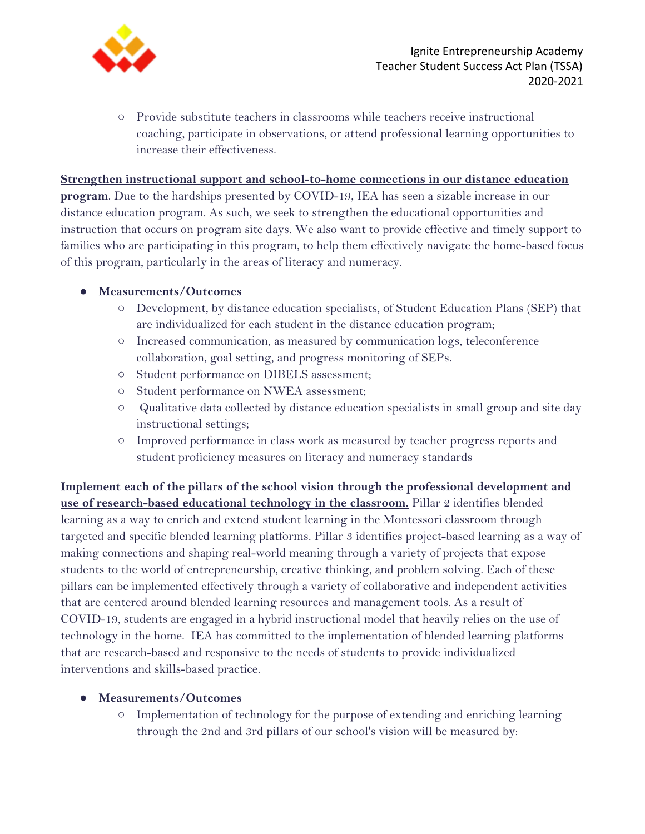

**○** Provide substitute teachers in classrooms while teachers receive instructional coaching, participate in observations, or attend professional learning opportunities to increase their effectiveness.

## **Strengthen instructional support and school-to-home connections in our distance education**

**program**. Due to the hardships presented by COVID-19, IEA has seen a sizable increase in our distance education program. As such, we seek to strengthen the educational opportunities and instruction that occurs on program site days. We also want to provide effective and timely support to families who are participating in this program, to help them effectively navigate the home-based focus of this program, particularly in the areas of literacy and numeracy.

## ● **Measurements/Outcomes**

- Development, by distance education specialists, of Student Education Plans (SEP) that are individualized for each student in the distance education program;
- Increased communication, as measured by communication logs, teleconference collaboration, goal setting, and progress monitoring of SEPs.
- Student performance on DIBELS assessment;
- Student performance on NWEA assessment;
- Qualitative data collected by distance education specialists in small group and site day instructional settings;
- Improved performance in class work as measured by teacher progress reports and student proficiency measures on literacy and numeracy standards

**Implement each of the pillars of the school vision through the professional development and use of research-based educational technology in the classroom.** Pillar 2 identifies blended learning as a way to enrich and extend student learning in the Montessori classroom through targeted and specific blended learning platforms. Pillar 3 identifies project-based learning as a way of making connections and shaping real-world meaning through a variety of projects that expose students to the world of entrepreneurship, creative thinking, and problem solving. Each of these pillars can be implemented effectively through a variety of collaborative and independent activities that are centered around blended learning resources and management tools. As a result of COVID-19, students are engaged in a hybrid instructional model that heavily relies on the use of technology in the home. IEA has committed to the implementation of blended learning platforms that are research-based and responsive to the needs of students to provide individualized interventions and skills-based practice.

# ● **Measurements/Outcomes**

○ Implementation of technology for the purpose of extending and enriching learning through the 2nd and 3rd pillars of our school's vision will be measured by: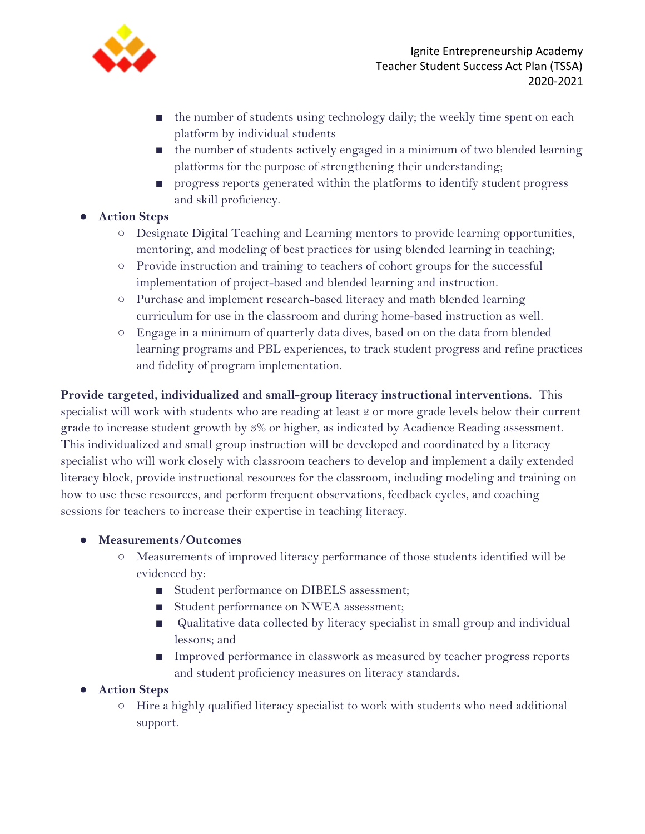

- the number of students using technology daily; the weekly time spent on each platform by individual students
- the number of students actively engaged in a minimum of two blended learning platforms for the purpose of strengthening their understanding;
- progress reports generated within the platforms to identify student progress and skill proficiency.
- **● Action Steps**
	- **○** Designate Digital Teaching and Learning mentors to provide learning opportunities, mentoring, and modeling of best practices for using blended learning in teaching;
	- **○** Provide instruction and training to teachers of cohort groups for the successful implementation of project-based and blended learning and instruction.
	- **○** Purchase and implement research-based literacy and math blended learning curriculum for use in the classroom and during home-based instruction as well.
	- Engage in a minimum of quarterly data dives, based on on the data from blended learning programs and PBL experiences, to track student progress and refine practices and fidelity of program implementation.

# **Provide targeted, individualized and small-group literacy instructional interventions.** This

specialist will work with students who are reading at least 2 or more grade levels below their current grade to increase student growth by 3% or higher, as indicated by Acadience Reading assessment. This individualized and small group instruction will be developed and coordinated by a literacy specialist who will work closely with classroom teachers to develop and implement a daily extended literacy block, provide instructional resources for the classroom, including modeling and training on how to use these resources, and perform frequent observations, feedback cycles, and coaching sessions for teachers to increase their expertise in teaching literacy.

# ● **Measurements/Outcomes**

- Measurements of improved literacy performance of those students identified will be evidenced by:
	- Student performance on DIBELS assessment;
	- Student performance on NWEA assessment;
	- Qualitative data collected by literacy specialist in small group and individual lessons; and
	- Improved performance in classwork as measured by teacher progress reports and student proficiency measures on literacy standards**.**

# **● Action Steps**

○ Hire a highly qualified literacy specialist to work with students who need additional support.